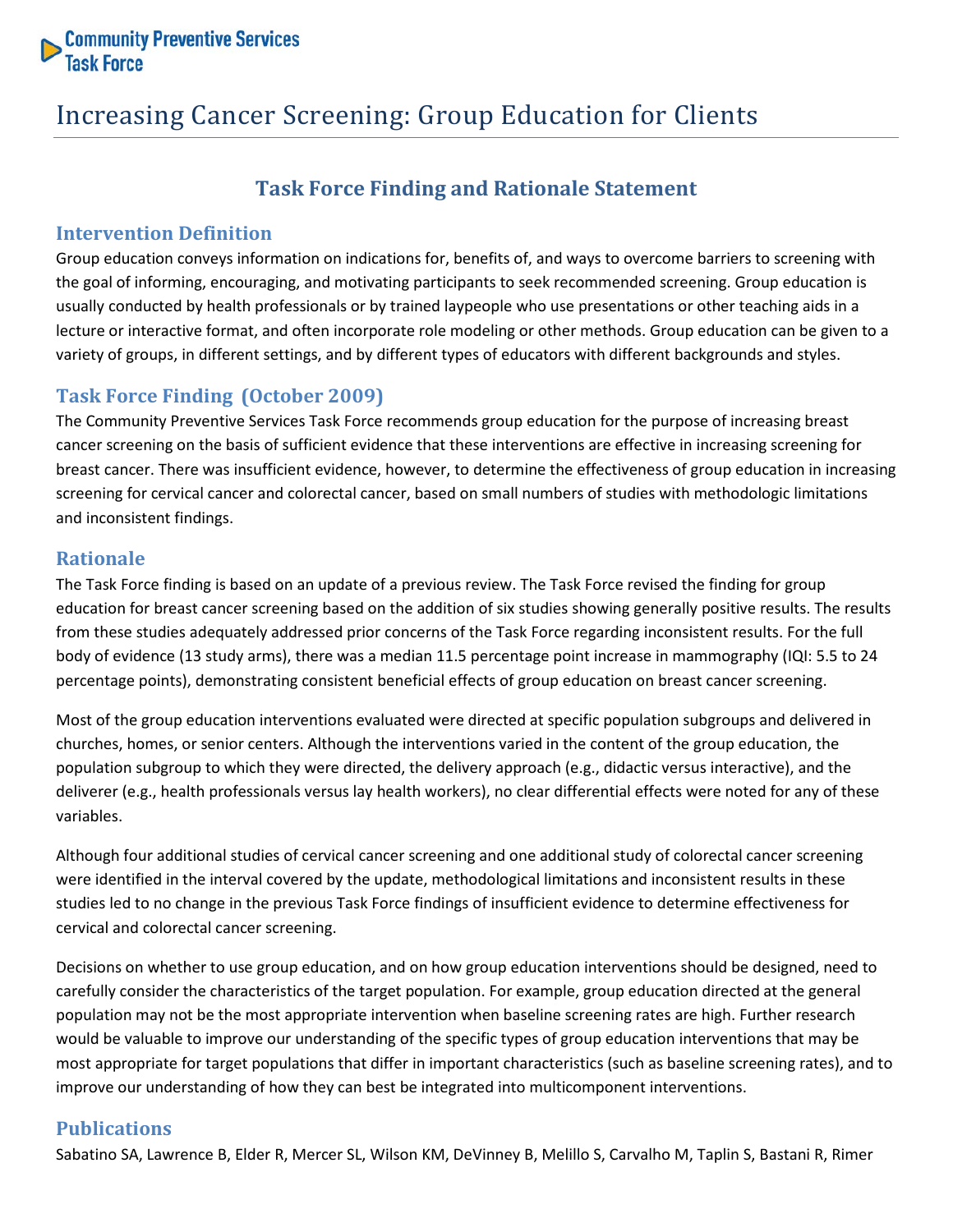

## Increasing Cancer Screening: Group Education for Clients

### **Task Force Finding and Rationale Statement**

#### **Intervention Definition**

Group education conveys information on indications for, benefits of, and ways to overcome barriers to screening with the goal of informing, encouraging, and motivating participants to seek recommended screening. Group education is usually conducted by health professionals or by trained laypeople who use presentations or other teaching aids in a lecture or interactive format, and often incorporate role modeling or other methods. Group education can be given to a variety of groups, in different settings, and by different types of educators with different backgrounds and styles.

#### **Task Force Finding (October 2009)**

The Community Preventive Services Task Force recommends group education for the purpose of increasing breast cancer screening on the basis of sufficient evidence that these interventions are effective in increasing screening for breast cancer. There was insufficient evidence, however, to determine the effectiveness of group education in increasing screening for cervical cancer and colorectal cancer, based on small numbers of studies with methodologic limitations and inconsistent findings.

#### **Rationale**

The Task Force finding is based on an update of a previous review. The Task Force revised the finding for group education for breast cancer screening based on the addition of six studies showing generally positive results. The results from these studies adequately addressed prior concerns of the Task Force regarding inconsistent results. For the full body of evidence (13 study arms), there was a median 11.5 percentage point increase in mammography (IQI: 5.5 to 24 percentage points), demonstrating consistent beneficial effects of group education on breast cancer screening.

Most of the group education interventions evaluated were directed at specific population subgroups and delivered in churches, homes, or senior centers. Although the interventions varied in the content of the group education, the population subgroup to which they were directed, the delivery approach (e.g., didactic versus interactive), and the deliverer (e.g., health professionals versus lay health workers), no clear differential effects were noted for any of these variables.

Although four additional studies of cervical cancer screening and one additional study of colorectal cancer screening were identified in the interval covered by the update, methodological limitations and inconsistent results in these studies led to no change in the previous Task Force findings of insufficient evidence to determine effectiveness for cervical and colorectal cancer screening.

Decisions on whether to use group education, and on how group education interventions should be designed, need to carefully consider the characteristics of the target population. For example, group education directed at the general population may not be the most appropriate intervention when baseline screening rates are high. Further research would be valuable to improve our understanding of the specific types of group education interventions that may be most appropriate for target populations that differ in important characteristics (such as baseline screening rates), and to improve our understanding of how they can best be integrated into multicomponent interventions.

#### **Publications**

Sabatino SA, Lawrence B, Elder R, Mercer SL, Wilson KM, DeVinney B, Melillo S, Carvalho M, Taplin S, Bastani R, Rimer